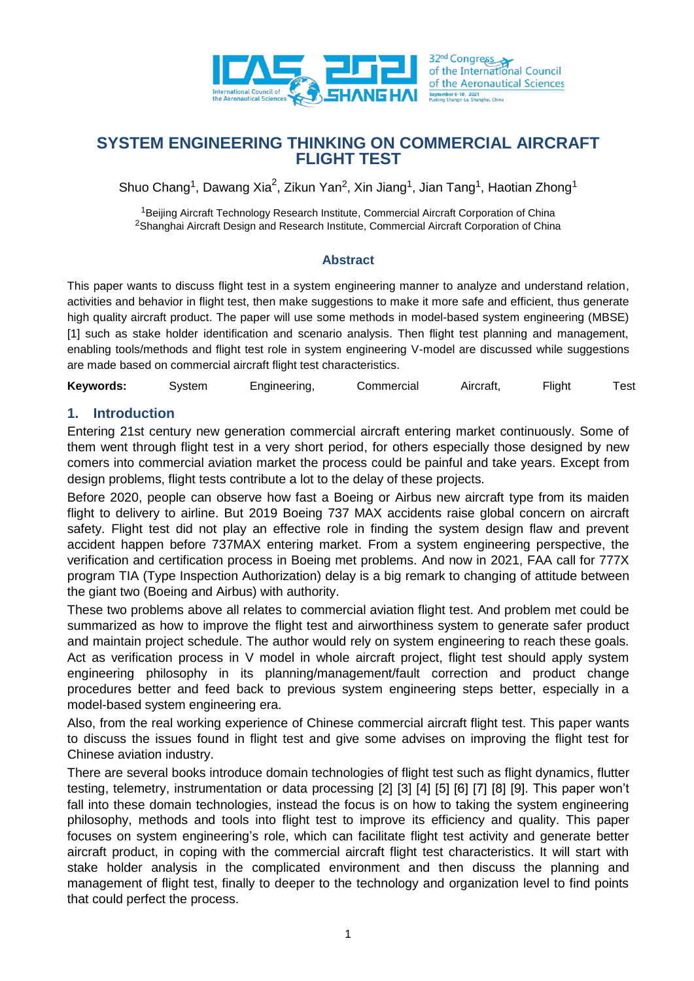

Shuo Chang<sup>1</sup>, Dawang Xia<sup>2</sup>, Zikun Yan<sup>2</sup>, Xin Jiang<sup>1</sup>, Jian Tang<sup>1</sup>, Haotian Zhong<sup>1</sup>

<sup>1</sup>Beijing Aircraft Technology Research Institute, Commercial Aircraft Corporation of China <sup>2</sup>Shanghai Aircraft Design and Research Institute, Commercial Aircraft Corporation of China

### **Abstract**

This paper wants to discuss flight test in a system engineering manner to analyze and understand relation, activities and behavior in flight test, then make suggestions to make it more safe and efficient, thus generate high quality aircraft product. The paper will use some methods in model-based system engineering (MBSE) [1] such as stake holder identification and scenario analysis. Then flight test planning and management, enabling tools/methods and flight test role in system engineering V-model are discussed while suggestions are made based on commercial aircraft flight test characteristics.

**Keywords:** System Engineering, Commercial Aircraft, Flight Test

## **1. Introduction**

Entering 21st century new generation commercial aircraft entering market continuously. Some of them went through flight test in a very short period, for others especially those designed by new comers into commercial aviation market the process could be painful and take years. Except from design problems, flight tests contribute a lot to the delay of these projects.

Before 2020, people can observe how fast a Boeing or Airbus new aircraft type from its maiden flight to delivery to airline. But 2019 Boeing 737 MAX accidents raise global concern on aircraft safety. Flight test did not play an effective role in finding the system design flaw and prevent accident happen before 737MAX entering market. From a system engineering perspective, the verification and certification process in Boeing met problems. And now in 2021, FAA call for 777X program TIA (Type Inspection Authorization) delay is a big remark to changing of attitude between the giant two (Boeing and Airbus) with authority.

These two problems above all relates to commercial aviation flight test. And problem met could be summarized as how to improve the flight test and airworthiness system to generate safer product and maintain project schedule. The author would rely on system engineering to reach these goals. Act as verification process in V model in whole aircraft project, flight test should apply system engineering philosophy in its planning/management/fault correction and product change procedures better and feed back to previous system engineering steps better, especially in a model-based system engineering era.

Also, from the real working experience of Chinese commercial aircraft flight test. This paper wants to discuss the issues found in flight test and give some advises on improving the flight test for Chinese aviation industry.

There are several books introduce domain technologies of flight test such as flight dynamics, flutter testing, telemetry, instrumentation or data processing [2] [3] [4] [5] [6] [7] [8] [9]. This paper won't fall into these domain technologies, instead the focus is on how to taking the system engineering philosophy, methods and tools into flight test to improve its efficiency and quality. This paper focuses on system engineering's role, which can facilitate flight test activity and generate better aircraft product, in coping with the commercial aircraft flight test characteristics. It will start with stake holder analysis in the complicated environment and then discuss the planning and management of flight test, finally to deeper to the technology and organization level to find points that could perfect the process.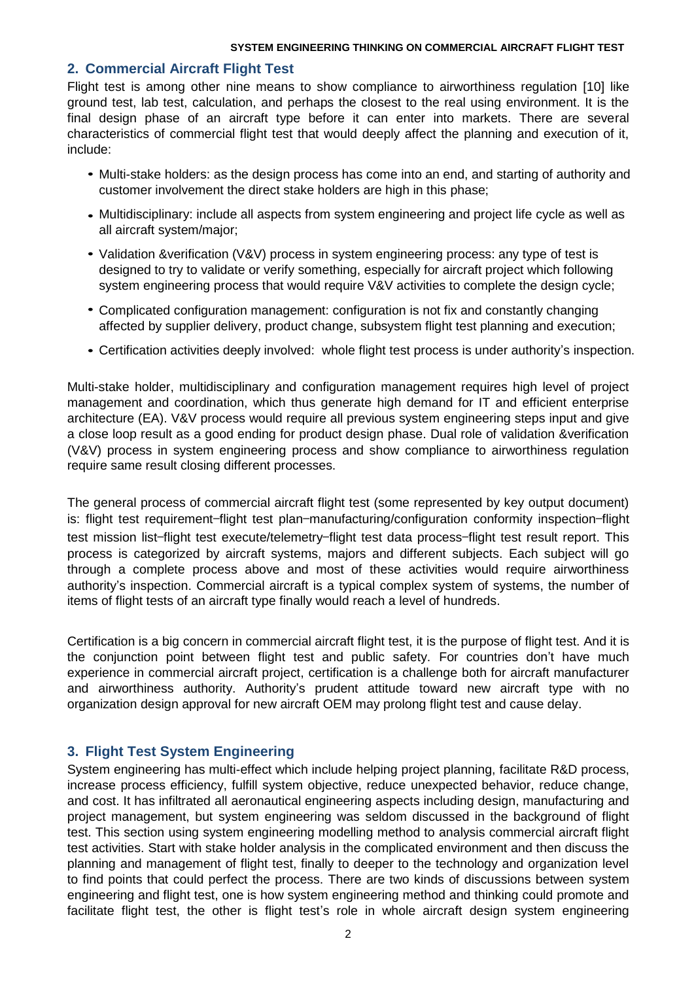### **2. Commercial Aircraft Flight Test**

Flight test is among other nine means to show compliance to airworthiness regulation [10] like ground test, lab test, calculation, and perhaps the closest to the real using environment. It is the final design phase of an aircraft type before it can enter into markets. There are several characteristics of commercial flight test that would deeply affect the planning and execution of it, include:

- Multi-stake holders: as the design process has come into an end, and starting of authority and *•* customer involvement the direct stake holders are high in this phase;
- Multidisciplinary: include all aspects from system engineering and project life cycle as well as *•* all aircraft system/major;
- Validation &verification (V&V) process in system engineering process: any type of test is designed to try to validate or verify something, especially for aircraft project which following system engineering process that would require V&V activities to complete the design cycle;
- Complicated configuration management: configuration is not fix and constantly changing *•* affected by supplier delivery, product change, subsystem flight test planning and execution;
- Certification activities deeply involved: whole flight test process is under authority's inspection. *•*

Multi-stake holder, multidisciplinary and configuration management requires high level of project management and coordination, which thus generate high demand for IT and efficient enterprise architecture (EA). V&V process would require all previous system engineering steps input and give a close loop result as a good ending for product design phase. Dual role of validation &verification (V&V) process in system engineering process and show compliance to airworthiness regulation require same result closing different processes.

The general process of commercial aircraft flight test (some represented by key output document) is: flight test requirement—flight test plan—manufacturing/configuration conformity inspection—flight test mission list—flight test execute/telemetry—flight test data process—flight test result report. This process is categorized by aircraft systems, majors and different subjects. Each subject will go through a complete process above and most of these activities would require airworthiness authority's inspection. Commercial aircraft is a typical complex system of systems, the number of items of flight tests of an aircraft type finally would reach a level of hundreds.

Certification is a big concern in commercial aircraft flight test, it is the purpose of flight test. And it is the conjunction point between flight test and public safety. For countries don't have much experience in commercial aircraft project, certification is a challenge both for aircraft manufacturer and airworthiness authority. Authority's prudent attitude toward new aircraft type with no organization design approval for new aircraft OEM may prolong flight test and cause delay.

## **3. Flight Test System Engineering**

System engineering has multi-effect which include helping project planning, facilitate R&D process, increase process efficiency, fulfill system objective, reduce unexpected behavior, reduce change, and cost. It has infiltrated all aeronautical engineering aspects including design, manufacturing and project management, but system engineering was seldom discussed in the background of flight test. This section using system engineering modelling method to analysis commercial aircraft flight test activities. Start with stake holder analysis in the complicated environment and then discuss the planning and management of flight test, finally to deeper to the technology and organization level to find points that could perfect the process. There are two kinds of discussions between system engineering and flight test, one is how system engineering method and thinking could promote and facilitate flight test, the other is flight test's role in whole aircraft design system engineering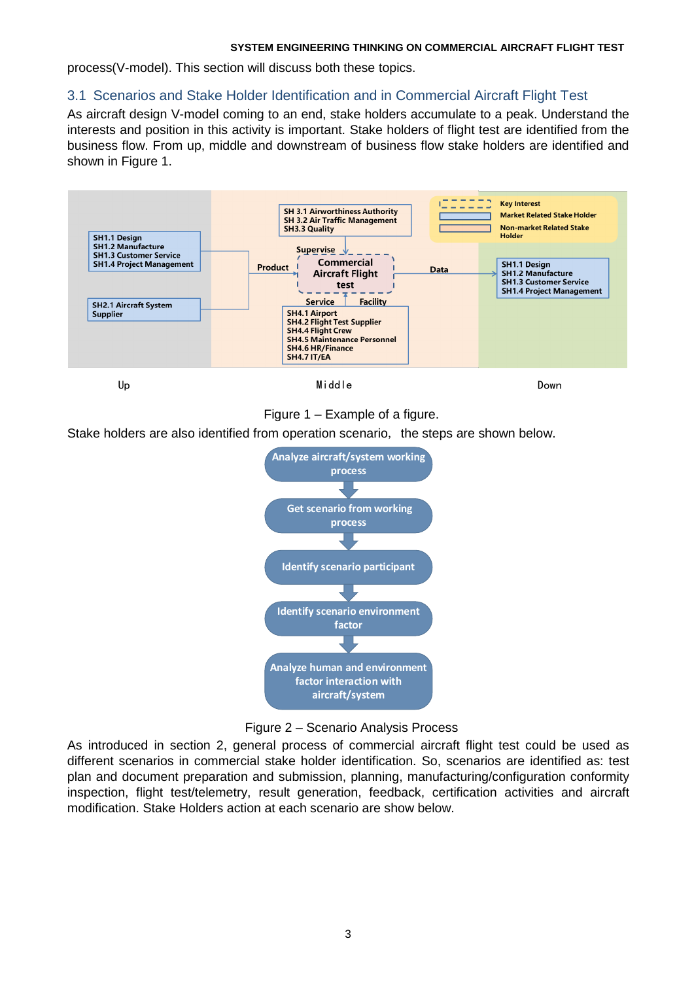process(V-model). This section will discuss both these topics.

## 3.1 Scenarios and Stake Holder Identification and in Commercial Aircraft Flight Test

As aircraft design V-model coming to an end, stake holders accumulate to a peak. Understand the interests and position in this activity is important. Stake holders of flight test are identified from the business flow. From up, middle and downstream of business flow stake holders are identified and shown in Figure 1.



### Figure 1 – Example of a figure.

Stake holders are also identified from operation scenario, the steps are shown below.





As introduced in section 2, general process of commercial aircraft flight test could be used as different scenarios in commercial stake holder identification. So, scenarios are identified as: test plan and document preparation and submission, planning, manufacturing/configuration conformity inspection, flight test/telemetry, result generation, feedback, certification activities and aircraft modification. Stake Holders action at each scenario are show below.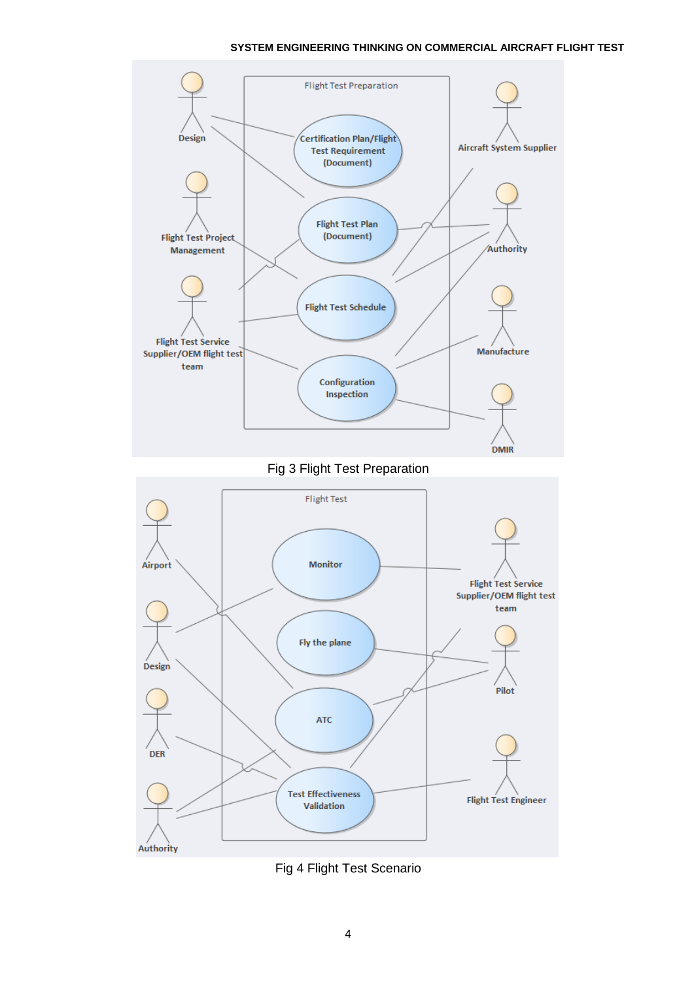

Fig 3 Flight Test Preparation



Fig 4 Flight Test Scenario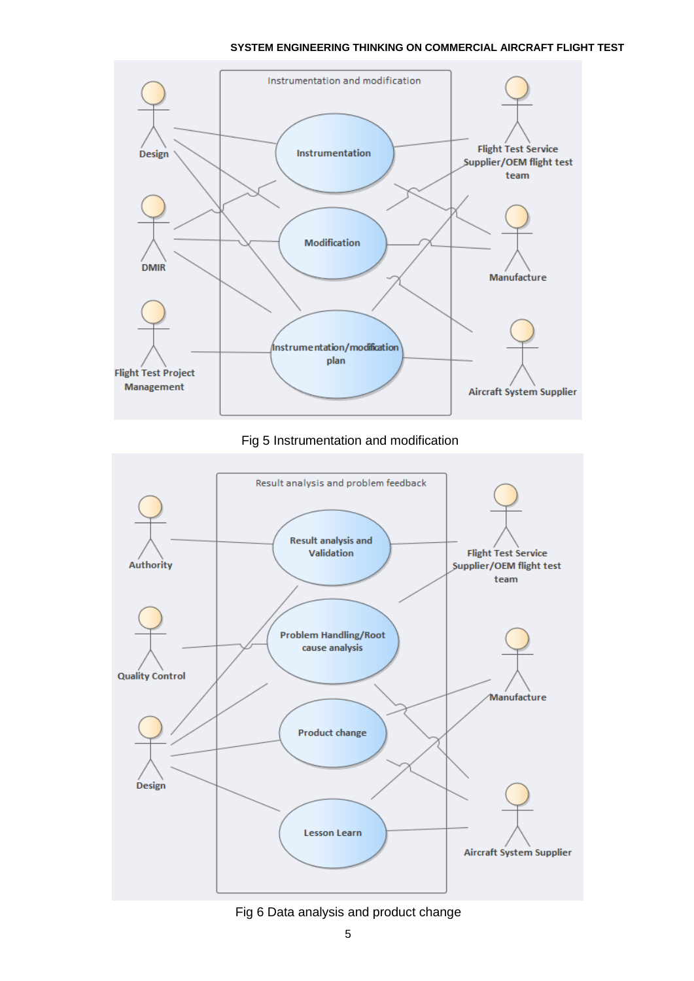

### Fig 5 Instrumentation and modification



### Fig 6 Data analysis and product change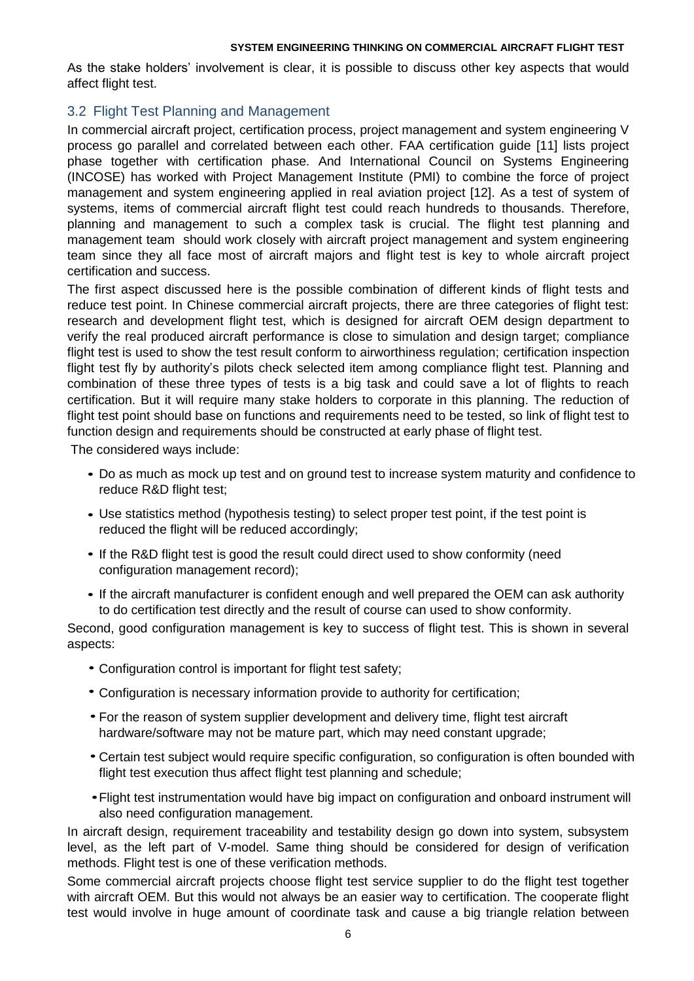As the stake holders' involvement is clear, it is possible to discuss other key aspects that would affect flight test.

## 3.2 Flight Test Planning and Management

In commercial aircraft project, certification process, project management and system engineering V process go parallel and correlated between each other. FAA certification guide [11] lists project phase together with certification phase. And International Council on Systems Engineering (INCOSE) has worked with Project Management Institute (PMI) to combine the force of project management and system engineering applied in real aviation project [12]. As a test of system of systems, items of commercial aircraft flight test could reach hundreds to thousands. Therefore, planning and management to such a complex task is crucial. The flight test planning and management team should work closely with aircraft project management and system engineering team since they all face most of aircraft majors and flight test is key to whole aircraft project certification and success.

The first aspect discussed here is the possible combination of different kinds of flight tests and reduce test point. In Chinese commercial aircraft projects, there are three categories of flight test: research and development flight test, which is designed for aircraft OEM design department to verify the real produced aircraft performance is close to simulation and design target; compliance flight test is used to show the test result conform to airworthiness regulation; certification inspection flight test fly by authority's pilots check selected item among compliance flight test. Planning and combination of these three types of tests is a big task and could save a lot of flights to reach certification. But it will require many stake holders to corporate in this planning. The reduction of flight test point should base on functions and requirements need to be tested, so link of flight test to function design and requirements should be constructed at early phase of flight test.

The considered ways include:

- Do as much as mock up test and on ground test to increase system maturity and confidence to *•* reduce R&D flight test;
- Use statistics method (hypothesis testing) to select proper test point, if the test point is *•* reduced the flight will be reduced accordingly;
- If the R&D flight test is good the result could direct used to show conformity (need configuration management record);
- If the aircraft manufacturer is confident enough and well prepared the OEM can ask authority to do certification test directly and the result of course can used to show conformity.

Second, good configuration management is key to success of flight test. This is shown in several aspects:

- Configuration control is important for flight test safety; *•*
- Configuration is necessary information provide to authority for certification; *•*
- For the reason of system supplier development and delivery time, flight test aircraft *•* hardware/software may not be mature part, which may need constant upgrade;
- Certain test subject would require specific configuration, so configuration is often bounded with *•* flight test execution thus affect flight test planning and schedule;
- Flight test instrumentation would have big impact on configuration and onboard instrument will *•*also need configuration management.

In aircraft design, requirement traceability and testability design go down into system, subsystem level, as the left part of V-model. Same thing should be considered for design of verification methods. Flight test is one of these verification methods.

Some commercial aircraft projects choose flight test service supplier to do the flight test together with aircraft OEM. But this would not always be an easier way to certification. The cooperate flight test would involve in huge amount of coordinate task and cause a big triangle relation between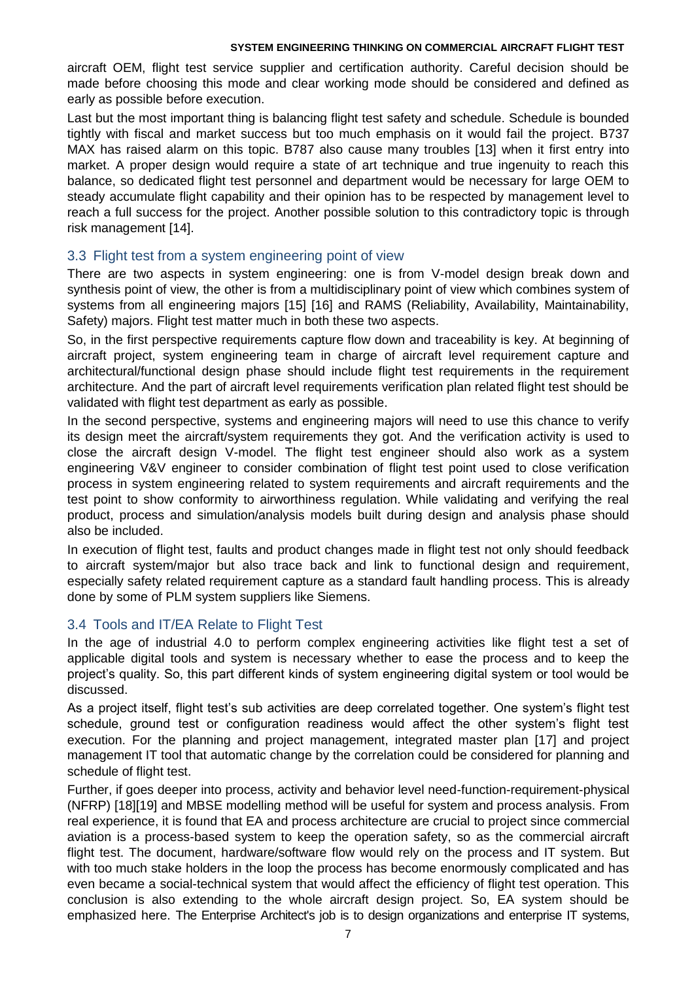aircraft OEM, flight test service supplier and certification authority. Careful decision should be made before choosing this mode and clear working mode should be considered and defined as early as possible before execution.

Last but the most important thing is balancing flight test safety and schedule. Schedule is bounded tightly with fiscal and market success but too much emphasis on it would fail the project. B737 MAX has raised alarm on this topic. B787 also cause many troubles [13] when it first entry into market. A proper design would require a state of art technique and true ingenuity to reach this balance, so dedicated flight test personnel and department would be necessary for large OEM to steady accumulate flight capability and their opinion has to be respected by management level to reach a full success for the project. Another possible solution to this contradictory topic is through risk management [14].

### 3.3 Flight test from a system engineering point of view

There are two aspects in system engineering: one is from V-model design break down and synthesis point of view, the other is from a multidisciplinary point of view which combines system of systems from all engineering majors [15] [16] and RAMS (Reliability, Availability, Maintainability, Safety) majors. Flight test matter much in both these two aspects.

So, in the first perspective requirements capture flow down and traceability is key. At beginning of aircraft project, system engineering team in charge of aircraft level requirement capture and architectural/functional design phase should include flight test requirements in the requirement architecture. And the part of aircraft level requirements verification plan related flight test should be validated with flight test department as early as possible.

In the second perspective, systems and engineering majors will need to use this chance to verify its design meet the aircraft/system requirements they got. And the verification activity is used to close the aircraft design V-model. The flight test engineer should also work as a system engineering V&V engineer to consider combination of flight test point used to close verification process in system engineering related to system requirements and aircraft requirements and the test point to show conformity to airworthiness regulation. While validating and verifying the real product, process and simulation/analysis models built during design and analysis phase should also be included.

In execution of flight test, faults and product changes made in flight test not only should feedback to aircraft system/major but also trace back and link to functional design and requirement, especially safety related requirement capture as a standard fault handling process. This is already done by some of PLM system suppliers like Siemens.

## 3.4 Tools and IT/EA Relate to Flight Test

In the age of industrial 4.0 to perform complex engineering activities like flight test a set of applicable digital tools and system is necessary whether to ease the process and to keep the project's quality. So, this part different kinds of system engineering digital system or tool would be discussed.

As a project itself, flight test's sub activities are deep correlated together. One system's flight test schedule, ground test or configuration readiness would affect the other system's flight test execution. For the planning and project management, integrated master plan [17] and project management IT tool that automatic change by the correlation could be considered for planning and schedule of flight test.

Further, if goes deeper into process, activity and behavior level need-function-requirement-physical (NFRP) [18][19] and MBSE modelling method will be useful for system and process analysis. From real experience, it is found that EA and process architecture are crucial to project since commercial aviation is a process-based system to keep the operation safety, so as the commercial aircraft flight test. The document, hardware/software flow would rely on the process and IT system. But with too much stake holders in the loop the process has become enormously complicated and has even became a social-technical system that would affect the efficiency of flight test operation. This conclusion is also extending to the whole aircraft design project. So, EA system should be emphasized here. The Enterprise Architect's job is to design organizations and enterprise IT systems,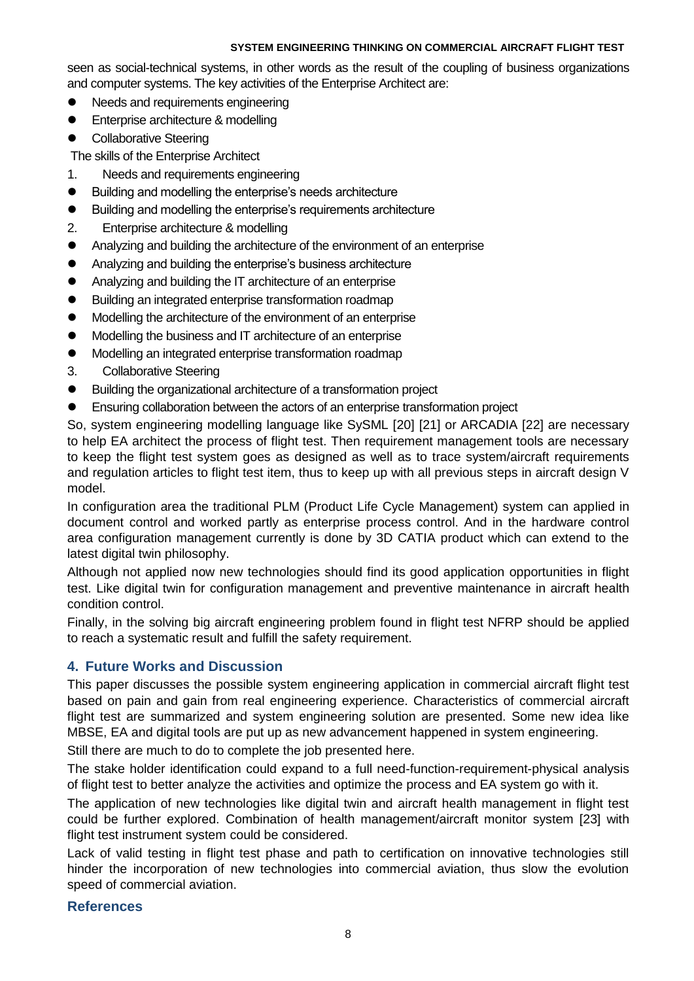seen as social-technical systems, in other words as the result of the coupling of business organizations and computer systems. The key activities of the Enterprise Architect are:

- Needs and requirements engineering
- **•** Enterprise architecture & modelling
- Collaborative Steering

The skills of the Enterprise Architect

- 1. Needs and requirements engineering
- Building and modelling the enterprise's needs architecture
- Building and modelling the enterprise's requirements architecture
- 2. Enterprise architecture & modelling
- Analyzing and building the architecture of the environment of an enterprise
- Analyzing and building the enterprise's business architecture
- Analyzing and building the IT architecture of an enterprise
- Building an integrated enterprise transformation roadmap
- Modelling the architecture of the environment of an enterprise
- Modelling the business and IT architecture of an enterprise
- Modelling an integrated enterprise transformation roadmap
- 3. Collaborative Steering
- Building the organizational architecture of a transformation project
- Ensuring collaboration between the actors of an enterprise transformation project

So, system engineering modelling language like SySML [20] [21] or ARCADIA [22] are necessary to help EA architect the process of flight test. Then requirement management tools are necessary to keep the flight test system goes as designed as well as to trace system/aircraft requirements and regulation articles to flight test item, thus to keep up with all previous steps in aircraft design V model.

In configuration area the traditional PLM (Product Life Cycle Management) system can applied in document control and worked partly as enterprise process control. And in the hardware control area configuration management currently is done by 3D CATIA product which can extend to the latest digital twin philosophy.

Although not applied now new technologies should find its good application opportunities in flight test. Like digital twin for configuration management and preventive maintenance in aircraft health condition control.

Finally, in the solving big aircraft engineering problem found in flight test NFRP should be applied to reach a systematic result and fulfill the safety requirement.

## **4. Future Works and Discussion**

This paper discusses the possible system engineering application in commercial aircraft flight test based on pain and gain from real engineering experience. Characteristics of commercial aircraft flight test are summarized and system engineering solution are presented. Some new idea like MBSE, EA and digital tools are put up as new advancement happened in system engineering.

Still there are much to do to complete the job presented here.

The stake holder identification could expand to a full need-function-requirement-physical analysis of flight test to better analyze the activities and optimize the process and EA system go with it.

The application of new technologies like digital twin and aircraft health management in flight test could be further explored. Combination of health management/aircraft monitor system [23] with flight test instrument system could be considered.

Lack of valid testing in flight test phase and path to certification on innovative technologies still hinder the incorporation of new technologies into commercial aviation, thus slow the evolution speed of commercial aviation.

### **References**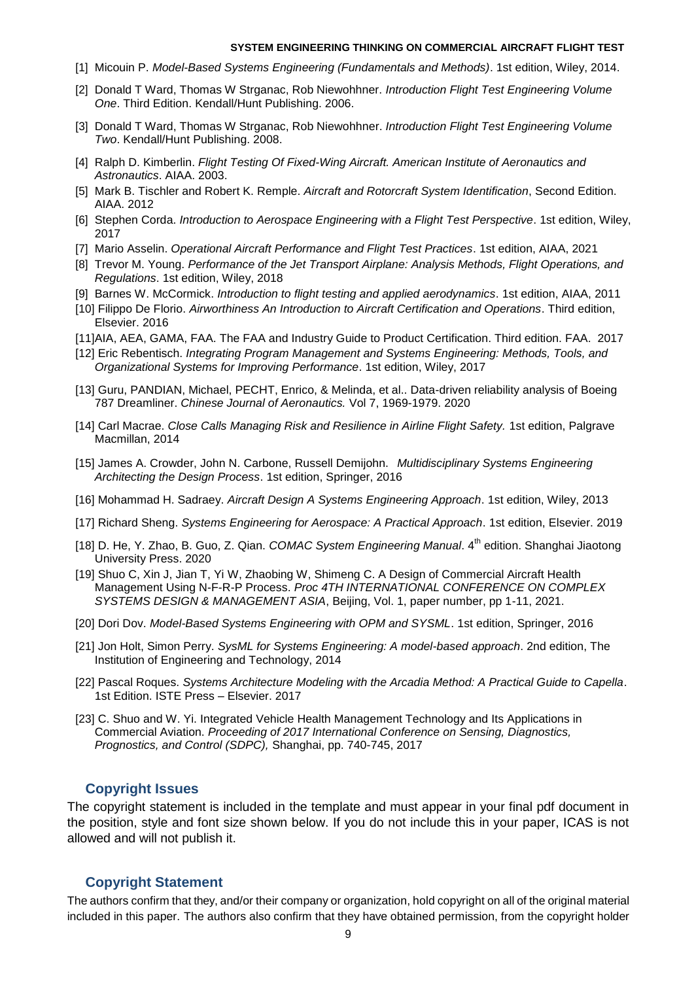- [1] Micouin P. *Model-Based Systems Engineering (Fundamentals and Methods)*. 1st edition, Wiley, 2014.
- [2] Donald T Ward, Thomas W Strganac, Rob Niewohhner. *Introduction Flight Test Engineering Volume One*. Third Edition. Kendall/Hunt Publishing. 2006.
- [3] Donald T Ward, Thomas W Strganac, Rob Niewohhner. *Introduction Flight Test Engineering Volume Two*. Kendall/Hunt Publishing. 2008.
- [4] Ralph D. Kimberlin. *Flight Testing Of Fixed-Wing Aircraft. American Institute of Aeronautics and Astronautics*. AIAA. 2003.
- [5] Mark B. Tischler and Robert K. Remple. *Aircraft and Rotorcraft System Identification*, Second Edition. AIAA. 2012
- [6] Stephen Corda. *Introduction to Aerospace Engineering with a Flight Test Perspective*. 1st edition, Wiley, 2017
- [7] Mario Asselin. *Operational Aircraft Performance and Flight Test Practices*. 1st edition, AIAA, 2021
- [8] Trevor M. Young. *Performance of the Jet Transport Airplane: Analysis Methods, Flight Operations, and Regulations*. 1st edition, Wiley, 2018
- [9] Barnes W. McCormick. *Introduction to flight testing and applied aerodynamics*. 1st edition, AIAA, 2011
- [10] Filippo De Florio. *Airworthiness An Introduction to Aircraft Certification and Operations*. Third edition, Elsevier. 2016
- [11]AIA, AEA, GAMA, FAA. The FAA and Industry Guide to Product Certification. Third edition. FAA. 2017
- [12] Eric Rebentisch. *Integrating Program Management and Systems Engineering: Methods, Tools, and Organizational Systems for Improving Performance*. 1st edition, Wiley, 2017
- [13] Guru, PANDIAN, Michael, PECHT, Enrico, & Melinda, et al.. Data-driven reliability analysis of Boeing 787 Dreamliner. *Chinese Journal of Aeronautics.* Vol 7, 1969-1979. 2020
- [14] Carl Macrae. *Close Calls Managing Risk and Resilience in Airline Flight Safety.* 1st edition, Palgrave Macmillan, 2014
- [15] James A. Crowder, John N. Carbone, Russell Demijohn. *Multidisciplinary Systems Engineering Architecting the Design Process*. 1st edition, Springer, 2016
- [16] Mohammad H. Sadraey. *Aircraft Design A Systems Engineering Approach*. 1st edition, Wiley, 2013
- [17] Richard Sheng. *Systems Engineering for Aerospace: A Practical Approach*. 1st edition, Elsevier. 2019
- [18] D. He, Y. Zhao, B. Guo, Z. Qian. *COMAC System Engineering Manual*. 4<sup>th</sup> edition. Shanghai Jiaotong University Press. 2020
- [19] Shuo C, Xin J, Jian T, Yi W, Zhaobing W, Shimeng C. A Design of Commercial Aircraft Health Management Using N-F-R-P Process. *Proc 4TH INTERNATIONAL CONFERENCE ON COMPLEX SYSTEMS DESIGN & MANAGEMENT ASIA*, Beijing, Vol. 1, paper number, pp 1-11, 2021.
- [20] Dori Dov. *Model-Based Systems Engineering with OPM and SYSML*. 1st edition, Springer, 2016
- [21] Jon Holt, Simon Perry. *SysML for Systems Engineering: A model-based approach*. 2nd edition, The Institution of Engineering and Technology, 2014
- [22] Pascal Roques. *Systems Architecture Modeling with the Arcadia Method: A Practical Guide to Capella*. 1st Edition. ISTE Press – Elsevier. 2017
- [23] C. Shuo and W. Yi. Integrated Vehicle Health Management Technology and Its Applications in Commercial Aviation. *Proceeding of 2017 International Conference on Sensing, Diagnostics, Prognostics, and Control (SDPC),* Shanghai, pp. 740-745, 2017

#### **Copyright Issues**

The copyright statement is included in the template and must appear in your final pdf document in the position, style and font size shown below. If you do not include this in your paper, ICAS is not allowed and will not publish it.

#### **Copyright Statement**

The authors confirm that they, and/or their company or organization, hold copyright on all of the original material included in this paper. The authors also confirm that they have obtained permission, from the copyright holder